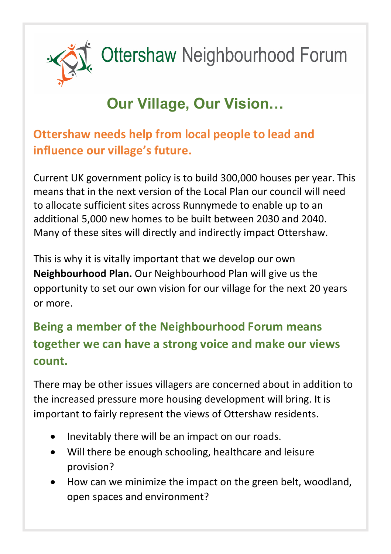

# Ottershaw Neighbourhood Forum

## **Our Village, Our Vision…**

#### **Ottershaw needs help from local people to lead and influence our village's future.**

Current UK government policy is to build 300,000 houses per year. This means that in the next version of the Local Plan our council will need to allocate sufficient sites across Runnymede to enable up to an additional 5,000 new homes to be built between 2030 and 2040. Many of these sites will directly and indirectly impact Ottershaw.

This is why it is vitally important that we develop our own **Neighbourhood Plan.** Our Neighbourhood Plan will give us the opportunity to set our own vision for our village for the next 20 years or more.

#### **Being a member of the Neighbourhood Forum means together we can have a strong voice and make our views count.**

There may be other issues villagers are concerned about in addition to the increased pressure more housing development will bring. It is important to fairly represent the views of Ottershaw residents.

- Inevitably there will be an impact on our roads.
- Will there be enough schooling, healthcare and leisure provision?
- How can we minimize the impact on the green belt, woodland, open spaces and environment?